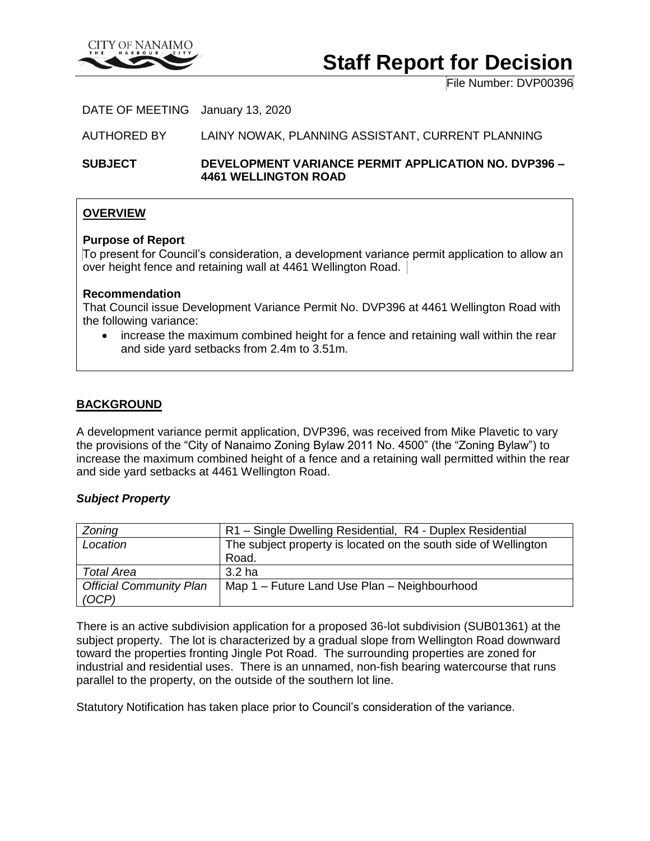

# **Staff Report for Decision**

File Number: DVP00396

DATE OF MEETING January 13, 2020

AUTHORED BY LAINY NOWAK, PLANNING ASSISTANT, CURRENT PLANNING

**SUBJECT DEVELOPMENT VARIANCE PERMIT APPLICATION NO. DVP396 – 4461 WELLINGTON ROAD**

#### **OVERVIEW**

#### **Purpose of Report**

To present for Council's consideration, a development variance permit application to allow an over height fence and retaining wall at 4461 Wellington Road.

#### **Recommendation**

That Council issue Development Variance Permit No. DVP396 at 4461 Wellington Road with the following variance:

 increase the maximum combined height for a fence and retaining wall within the rear and side yard setbacks from 2.4m to 3.51m.

#### **BACKGROUND**

A development variance permit application, DVP396, was received from Mike Plavetic to vary the provisions of the "City of Nanaimo Zoning Bylaw 2011 No. 4500" (the "Zoning Bylaw") to increase the maximum combined height of a fence and a retaining wall permitted within the rear and side yard setbacks at 4461 Wellington Road.

#### *Subject Property*

| Zoning                         | R1 - Single Dwelling Residential, R4 - Duplex Residential       |
|--------------------------------|-----------------------------------------------------------------|
| Location                       | The subject property is located on the south side of Wellington |
|                                | Road.                                                           |
| <b>Total Area</b>              | 3.2 <sub>ha</sub>                                               |
| <b>Official Community Plan</b> | Map 1 – Future Land Use Plan – Neighbourhood                    |
| (OCP)                          |                                                                 |

There is an active subdivision application for a proposed 36-lot subdivision (SUB01361) at the subject property. The lot is characterized by a gradual slope from Wellington Road downward toward the properties fronting Jingle Pot Road. The surrounding properties are zoned for industrial and residential uses. There is an unnamed, non-fish bearing watercourse that runs parallel to the property, on the outside of the southern lot line.

Statutory Notification has taken place prior to Council's consideration of the variance.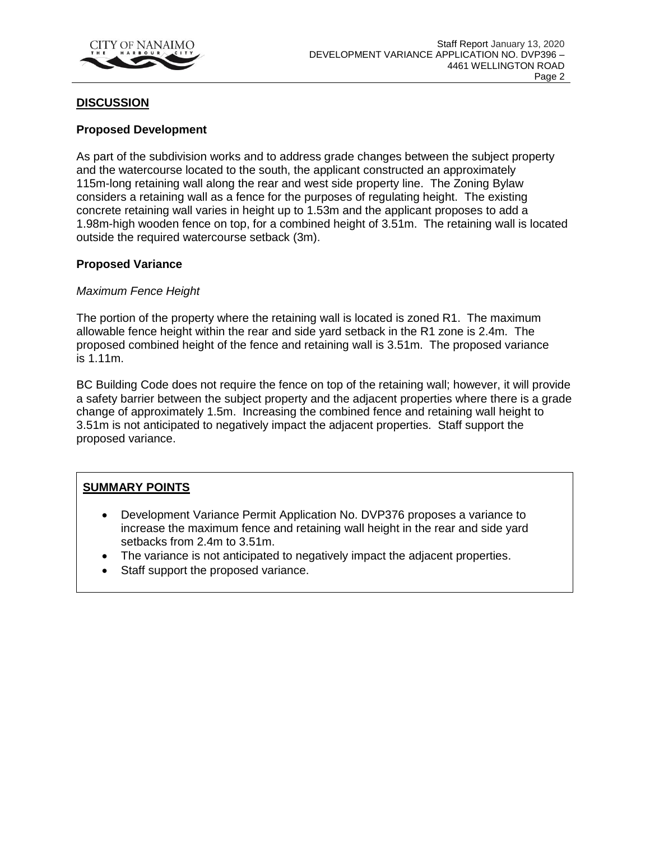

### **DISCUSSION**

#### **Proposed Development**

As part of the subdivision works and to address grade changes between the subject property and the watercourse located to the south, the applicant constructed an approximately 115m-long retaining wall along the rear and west side property line. The Zoning Bylaw considers a retaining wall as a fence for the purposes of regulating height. The existing concrete retaining wall varies in height up to 1.53m and the applicant proposes to add a 1.98m-high wooden fence on top, for a combined height of 3.51m. The retaining wall is located outside the required watercourse setback (3m).

#### **Proposed Variance**

#### *Maximum Fence Height*

The portion of the property where the retaining wall is located is zoned R1. The maximum allowable fence height within the rear and side yard setback in the R1 zone is 2.4m. The proposed combined height of the fence and retaining wall is 3.51m. The proposed variance is 1.11m.

BC Building Code does not require the fence on top of the retaining wall; however, it will provide a safety barrier between the subject property and the adjacent properties where there is a grade change of approximately 1.5m. Increasing the combined fence and retaining wall height to 3.51m is not anticipated to negatively impact the adjacent properties. Staff support the proposed variance.

## **SUMMARY POINTS**

- Development Variance Permit Application No. DVP376 proposes a variance to increase the maximum fence and retaining wall height in the rear and side yard setbacks from 2.4m to 3.51m.
- The variance is not anticipated to negatively impact the adjacent properties.
- Staff support the proposed variance.